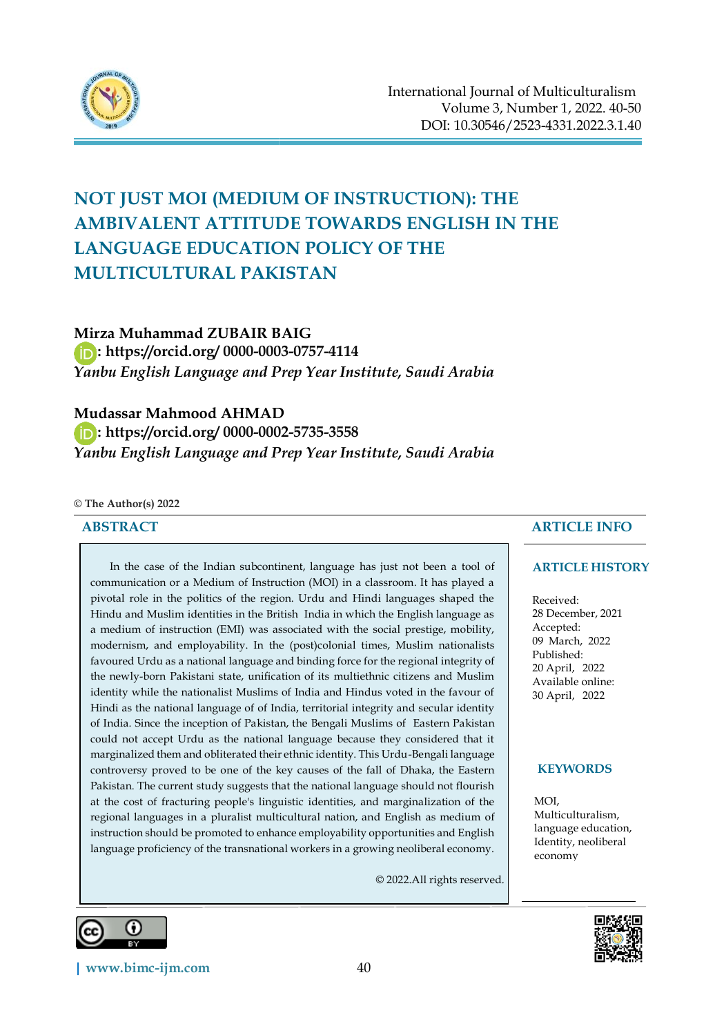

# **NOT JUST MOI (MEDIUM OF INSTRUCTION): THE AMBIVALENT ATTITUDE TOWARDS ENGLISH IN THE LANGUAGE EDUCATION POLICY OF THE MULTICULTURAL PAKISTAN**

# **Mirza Muhammad ZUBAIR BAIG**

 **:<https://orcid.org/> 0000-0003-0757-4114** *Yanbu English Language and Prep Year Institute, Saudi Arabia*

## **Mudassar Mahmood AHMAD**

 **:<https://orcid.org/> 0000-0002-5735-3558** *Yanbu English Language and Prep Year Institute, Saudi Arabia*

#### **© The Author(s) 2022**

#### **ABSTRACT**

In the case of the Indian subcontinent, language has just not been a tool of communication or a Medium of Instruction (MOI) in a classroom. It has played a pivotal role in the politics of the region. Urdu and Hindi languages shaped the Hindu and Muslim identities in the British India in which the English language as a medium of instruction (EMI) was associated with the social prestige, mobility, modernism, and employability. In the (post)colonial times, Muslim nationalists favoured Urdu as a national language and binding force for the regional integrity of the newly-born Pakistani state, unification of its multiethnic citizens and Muslim identity while the nationalist Muslims of India and Hindus voted in the favour of Hindi as the national language of of India, territorial integrity and secular identity of India. Since the inception of Pakistan, the Bengali Muslims of Eastern Pakistan could not accept Urdu as the national language because they considered that it marginalized them and obliterated their ethnic identity. This Urdu-Bengali language controversy proved to be one of the key causes of the fall of Dhaka, the Eastern Pakistan. The current study suggests that the national language should not flourish at the cost of fracturing people's linguistic identities, and marginalization of the regional languages in a pluralist multicultural nation, and English as medium of instruction should be promoted to enhance employability opportunities and English language proficiency of the transnational workers in a growing neoliberal economy.

© 2022.All rights reserved.

#### **ARTICLE INFO**

#### **ARTICLE HISTORY**

Received: 28 December, 2021 Accepted: 09 March, 2022 Published: 20 April, 2022 Available online: 30 April, 2022

#### **KEYWORDS**

MOI, Multiculturalism, language education, Identity, neoliberal economy





റ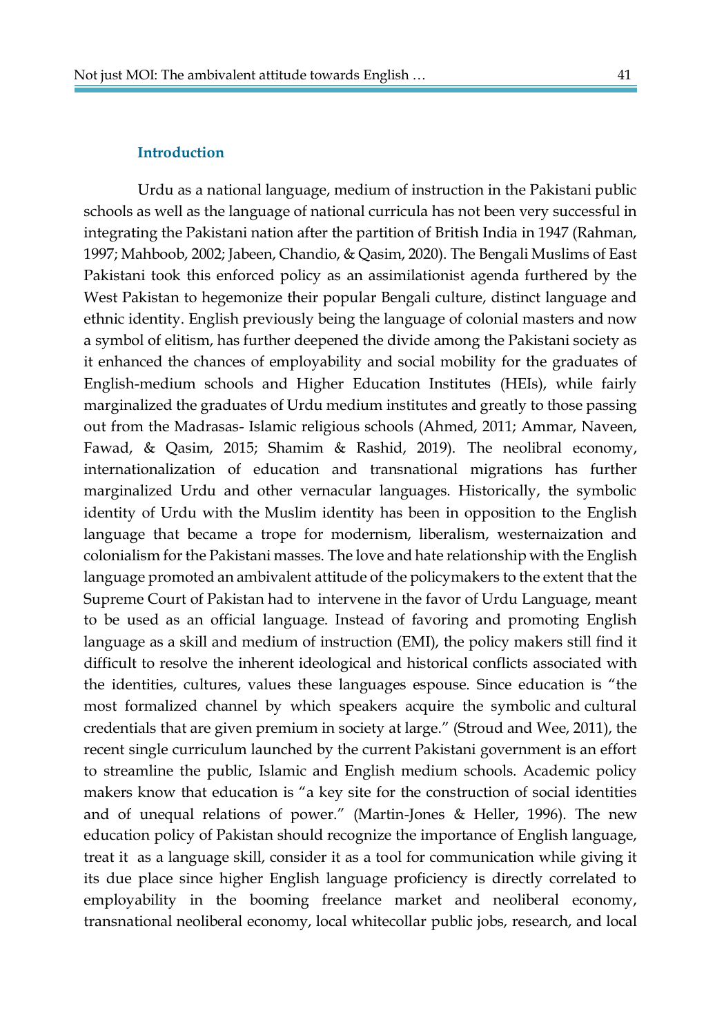#### **Introduction**

 Urdu as a national language, medium of instruction in the Pakistani public schools as well as the language of national curricula has not been very successful in integrating the Pakistani nation after the partition of British India in 1947 (Rahman, 1997; Mahboob, 2002; Jabeen, Chandio, & Qasim, 2020). The Bengali Muslims of East Pakistani took this enforced policy as an assimilationist agenda furthered by the West Pakistan to hegemonize their popular Bengali culture, distinct language and ethnic identity. English previously being the language of colonial masters and now a symbol of elitism, has further deepened the divide among the Pakistani society as it enhanced the chances of employability and social mobility for the graduates of English-medium schools and Higher Education Institutes (HEIs), while fairly marginalized the graduates of Urdu medium institutes and greatly to those passing out from the Madrasas- Islamic religious schools (Ahmed, 2011; Ammar, Naveen, Fawad, & Qasim, 2015; Shamim & Rashid, 2019). The neolibral economy, internationalization of education and transnational migrations has further marginalized Urdu and other vernacular languages. Historically, the symbolic identity of Urdu with the Muslim identity has been in opposition to the English language that became a trope for modernism, liberalism, westernaization and colonialism for the Pakistani masses. The love and hate relationship with the English language promoted an ambivalent attitude of the policymakers to the extent that the Supreme Court of Pakistan had to intervene in the favor of Urdu Language, meant to be used as an official language. Instead of favoring and promoting English language as a skill and medium of instruction (EMI), the policy makers still find it difficult to resolve the inherent ideological and historical conflicts associated with the identities, cultures, values these languages espouse. Since education is "the most formalized channel by which speakers acquire the symbolic and cultural credentials that are given premium in society at large." (Stroud and Wee, 2011), the recent single curriculum launched by the current Pakistani government is an effort to streamline the public, Islamic and English medium schools. Academic policy makers know that education is "a key site for the construction of social identities and of unequal relations of power." (Martin-Jones & Heller, 1996). The new education policy of Pakistan should recognize the importance of English language, treat it as a language skill, consider it as a tool for communication while giving it its due place since higher English language proficiency is directly correlated to employability in the booming freelance market and neoliberal economy, transnational neoliberal economy, local whitecollar public jobs, research, and local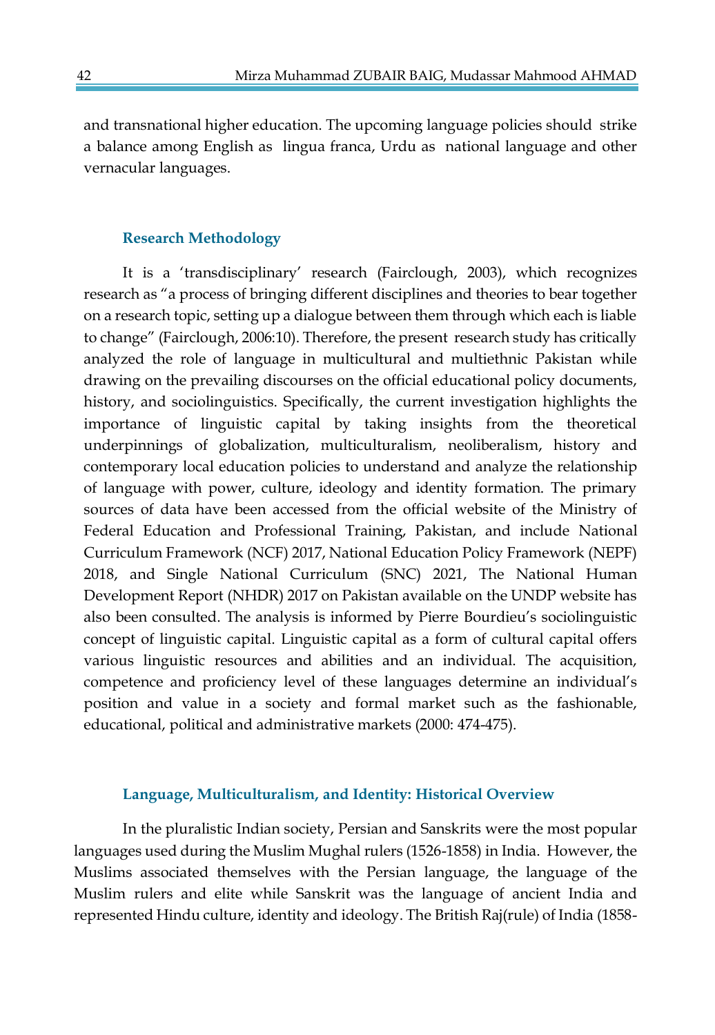and transnational higher education. The upcoming language policies should strike a balance among English as lingua franca, Urdu as national language and other vernacular languages.

### **Research Methodology**

It is a 'transdisciplinary' research (Fairclough, 2003), which recognizes research as "a process of bringing different disciplines and theories to bear together on a research topic, setting up a dialogue between them through which each is liable to change" (Fairclough, 2006:10). Therefore, the present research study has critically analyzed the role of language in multicultural and multiethnic Pakistan while drawing on the prevailing discourses on the official educational policy documents, history, and sociolinguistics. Specifically, the current investigation highlights the importance of linguistic capital by taking insights from the theoretical underpinnings of globalization, multiculturalism, neoliberalism, history and contemporary local education policies to understand and analyze the relationship of language with power, culture, ideology and identity formation. The primary sources of data have been accessed from the official website of the Ministry of Federal Education and Professional Training, Pakistan, and include National Curriculum Framework (NCF) 2017, National Education Policy Framework (NEPF) 2018, and Single National Curriculum (SNC) 2021, The National Human Development Report (NHDR) 2017 on Pakistan available on the UNDP website has also been consulted. The analysis is informed by Pierre Bourdieu's sociolinguistic concept of linguistic capital. Linguistic capital as a form of cultural capital offers various linguistic resources and abilities and an individual. The acquisition, competence and proficiency level of these languages determine an individual's position and value in a society and formal market such as the fashionable, educational, political and administrative markets (2000: 474-475).

#### **Language, Multiculturalism, and Identity: Historical Overview**

In the pluralistic Indian society, Persian and Sanskrits were the most popular languages used during the Muslim Mughal rulers (1526-1858) in India. However, the Muslims associated themselves with the Persian language, the language of the Muslim rulers and elite while Sanskrit was the language of ancient India and represented Hindu culture, identity and ideology. The British Raj(rule) of India (1858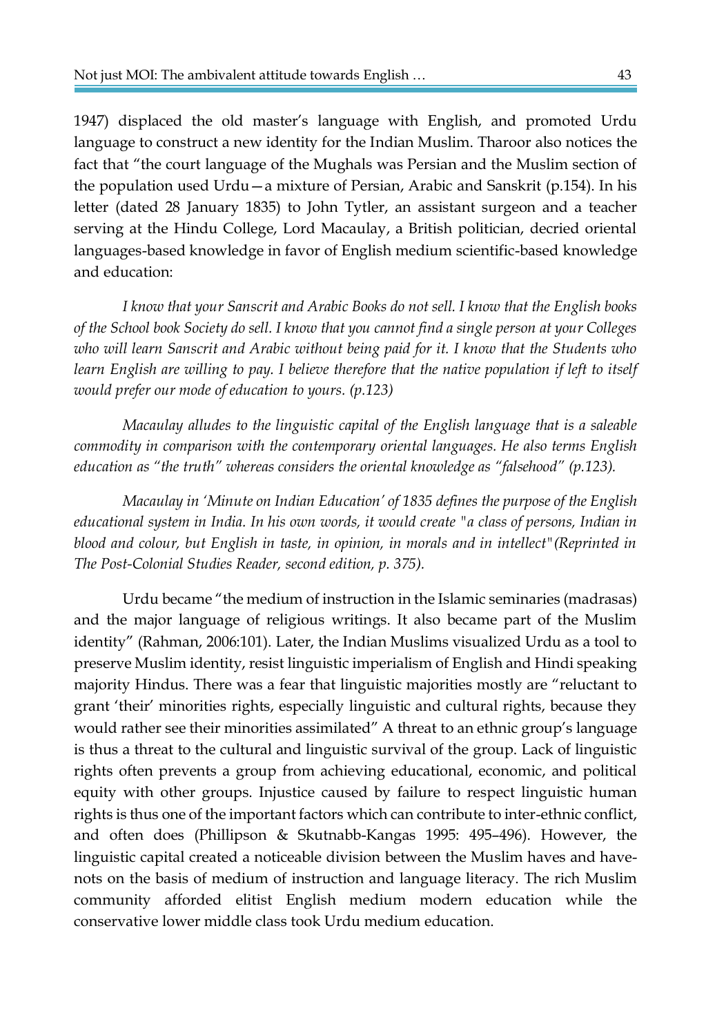1947) displaced the old master's language with English, and promoted Urdu language to construct a new identity for the Indian Muslim. Tharoor also notices the fact that "the court language of the Mughals was Persian and the Muslim section of the population used Urdu—a mixture of Persian, Arabic and Sanskrit (p.154). In his letter (dated 28 January 1835) to John Tytler, an assistant surgeon and a teacher serving at the Hindu College, Lord Macaulay, a British politician, decried oriental languages-based knowledge in favor of English medium scientific-based knowledge and education:

*I know that your Sanscrit and Arabic Books do not sell. I know that the English books of the School book Society do sell. I know that you cannot find a single person at your Colleges*  who will learn Sanscrit and Arabic without being paid for it. I know that the Students who *learn English are willing to pay. I believe therefore that the native population if left to itself would prefer our mode of education to yours. (p.123)*

*Macaulay alludes to the linguistic capital of the English language that is a saleable commodity in comparison with the contemporary oriental languages. He also terms English education as "the truth" whereas considers the oriental knowledge as "falsehood" (p.123).*

*Macaulay in 'Minute on Indian Education' of 1835 defines the purpose of the English educational system in India. In his own words, it would create "a class of persons, Indian in blood and colour, but English in taste, in opinion, in morals and in intellect"(Reprinted in The Post-Colonial Studies Reader, second edition, p. 375).* 

Urdu became "the medium of instruction in the Islamic seminaries (madrasas) and the major language of religious writings. It also became part of the Muslim identity" (Rahman, 2006:101). Later, the Indian Muslims visualized Urdu as a tool to preserve Muslim identity, resist linguistic imperialism of English and Hindi speaking majority Hindus. There was a fear that linguistic majorities mostly are "reluctant to grant 'their' minorities rights, especially linguistic and cultural rights, because they would rather see their minorities assimilated" A threat to an ethnic group's language is thus a threat to the cultural and linguistic survival of the group. Lack of linguistic rights often prevents a group from achieving educational, economic, and political equity with other groups. Injustice caused by failure to respect linguistic human rights is thus one of the important factors which can contribute to inter-ethnic conflict, and often does (Phillipson & Skutnabb-Kangas 1995: 495–496). However, the linguistic capital created a noticeable division between the Muslim haves and havenots on the basis of medium of instruction and language literacy. The rich Muslim community afforded elitist English medium modern education while the conservative lower middle class took Urdu medium education.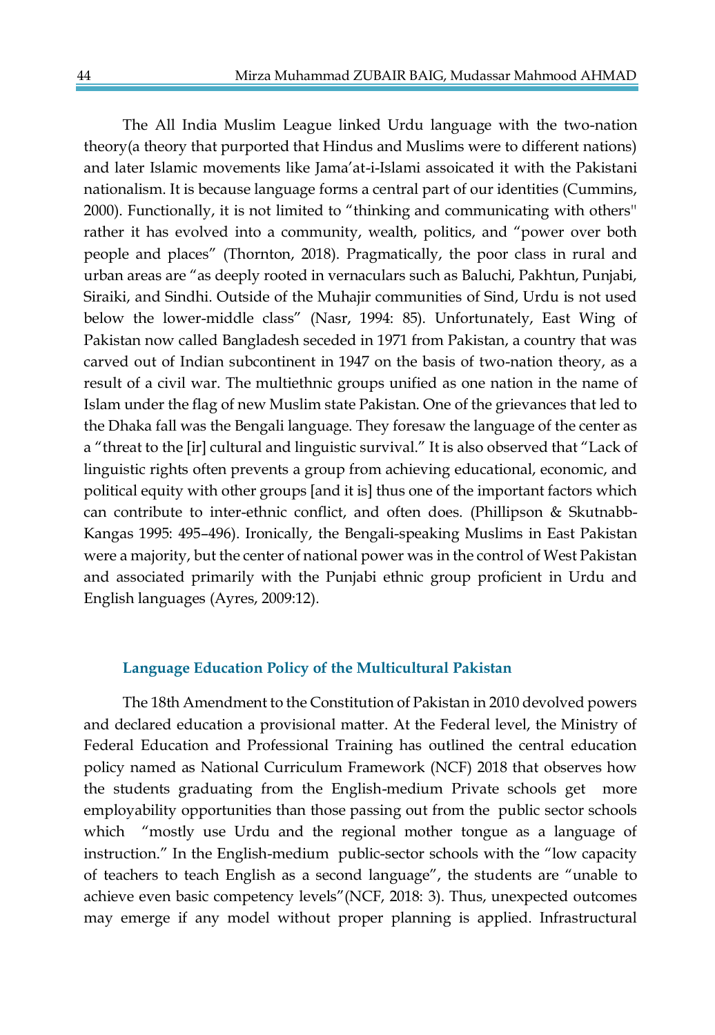The All India Muslim League linked Urdu language with the two-nation theory(a theory that purported that Hindus and Muslims were to different nations) and later Islamic movements like Jama'at-i-Islami assoicated it with the Pakistani nationalism. It is because language forms a central part of our identities (Cummins, 2000). Functionally, it is not limited to "thinking and communicating with others'' rather it has evolved into a community, wealth, politics, and "power over both people and places" (Thornton, 2018). Pragmatically, the poor class in rural and urban areas are "as deeply rooted in vernaculars such as Baluchi, Pakhtun, Punjabi, Siraiki, and Sindhi. Outside of the Muhajir communities of Sind, Urdu is not used below the lower-middle class" (Nasr, 1994: 85). Unfortunately, East Wing of Pakistan now called Bangladesh seceded in 1971 from Pakistan, a country that was carved out of Indian subcontinent in 1947 on the basis of two-nation theory, as a result of a civil war. The multiethnic groups unified as one nation in the name of Islam under the flag of new Muslim state Pakistan. One of the grievances that led to the Dhaka fall was the Bengali language. They foresaw the language of the center as a "threat to the [ir] cultural and linguistic survival." It is also observed that "Lack of linguistic rights often prevents a group from achieving educational, economic, and political equity with other groups [and it is] thus one of the important factors which can contribute to inter-ethnic conflict, and often does. (Phillipson & Skutnabb-Kangas 1995: 495–496). Ironically, the Bengali-speaking Muslims in East Pakistan were a majority, but the center of national power was in the control of West Pakistan and associated primarily with the Punjabi ethnic group proficient in Urdu and English languages (Ayres, 2009:12).

#### **Language Education Policy of the Multicultural Pakistan**

The 18th Amendment to the Constitution of Pakistan in 2010 devolved powers and declared education a provisional matter. At the Federal level, the Ministry of Federal Education and Professional Training has outlined the central education policy named as National Curriculum Framework (NCF) 2018 that observes how the students graduating from the English-medium Private schools get more employability opportunities than those passing out from the public sector schools which "mostly use Urdu and the regional mother tongue as a language of instruction." In the English-medium public-sector schools with the "low capacity of teachers to teach English as a second language", the students are "unable to achieve even basic competency levels"(NCF, 2018: 3). Thus, unexpected outcomes may emerge if any model without proper planning is applied. Infrastructural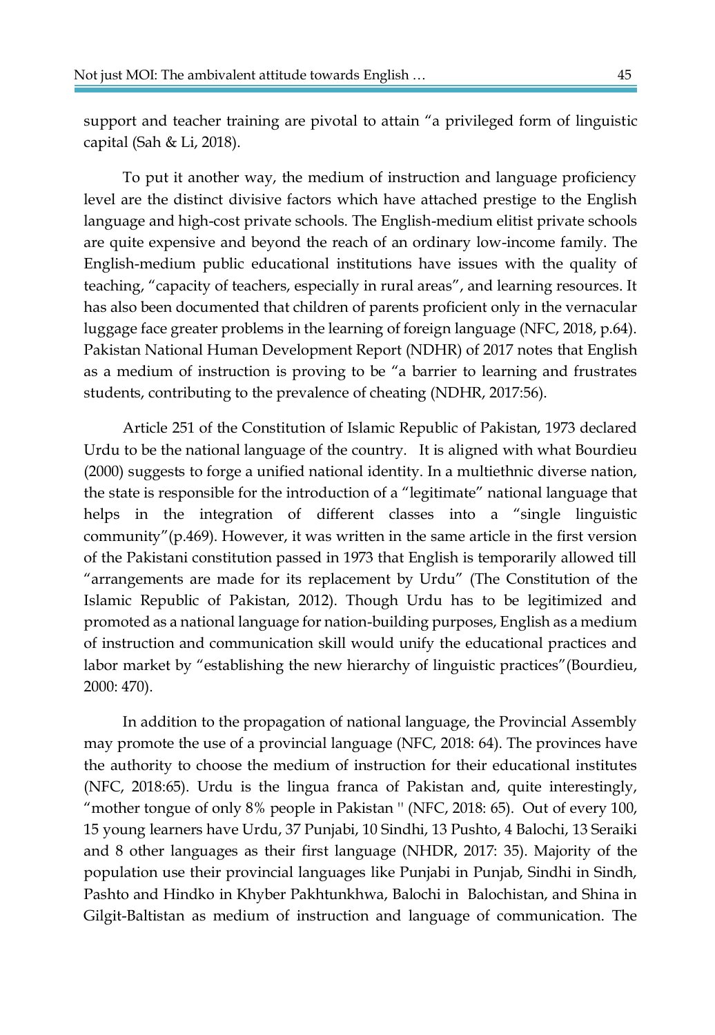support and teacher training are pivotal to attain "a privileged form of linguistic capital (Sah & Li, 2018).

To put it another way, the medium of instruction and language proficiency level are the distinct divisive factors which have attached prestige to the English language and high-cost private schools. The English-medium elitist private schools are quite expensive and beyond the reach of an ordinary low-income family. The English-medium public educational institutions have issues with the quality of teaching, "capacity of teachers, especially in rural areas", and learning resources. It has also been documented that children of parents proficient only in the vernacular luggage face greater problems in the learning of foreign language (NFC, 2018, p.64). Pakistan National Human Development Report (NDHR) of 2017 notes that English as a medium of instruction is proving to be "a barrier to learning and frustrates students, contributing to the prevalence of cheating (NDHR, 2017:56).

Article 251 of the Constitution of Islamic Republic of Pakistan, 1973 declared Urdu to be the national language of the country. It is aligned with what Bourdieu (2000) suggests to forge a unified national identity. In a multiethnic diverse nation, the state is responsible for the introduction of a "legitimate" national language that helps in the integration of different classes into a "single linguistic community"(p.469). However, it was written in the same article in the first version of the Pakistani constitution passed in 1973 that English is temporarily allowed till "arrangements are made for its replacement by Urdu" (The Constitution of the Islamic Republic of Pakistan, 2012). Though Urdu has to be legitimized and promoted as a national language for nation-building purposes, English as a medium of instruction and communication skill would unify the educational practices and labor market by "establishing the new hierarchy of linguistic practices"(Bourdieu, 2000: 470).

In addition to the propagation of national language, the Provincial Assembly may promote the use of a provincial language (NFC, 2018: 64). The provinces have the authority to choose the medium of instruction for their educational institutes (NFC, 2018:65). Urdu is the lingua franca of Pakistan and, quite interestingly, "mother tongue of only 8% people in Pakistan '' (NFC, 2018: 65). Out of every 100, 15 young learners have Urdu, 37 Punjabi, 10 Sindhi, 13 Pushto, 4 Balochi, 13 Seraiki and 8 other languages as their first language (NHDR, 2017: 35). Majority of the population use their provincial languages like Punjabi in Punjab, Sindhi in Sindh, Pashto and Hindko in Khyber Pakhtunkhwa, Balochi in Balochistan, and Shina in Gilgit-Baltistan as medium of instruction and language of communication. The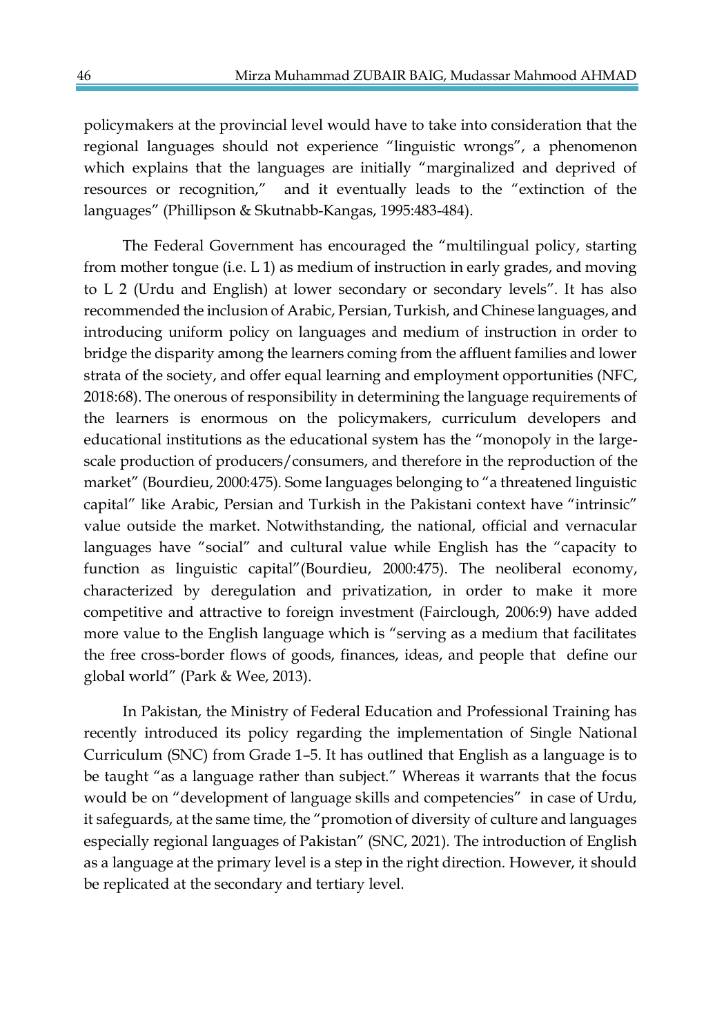policymakers at the provincial level would have to take into consideration that the regional languages should not experience "linguistic wrongs", a phenomenon which explains that the languages are initially "marginalized and deprived of resources or recognition," and it eventually leads to the "extinction of the languages" (Phillipson & Skutnabb-Kangas, 1995:483-484).

The Federal Government has encouraged the "multilingual policy, starting from mother tongue (i.e.  $L 1$ ) as medium of instruction in early grades, and moving to L 2 (Urdu and English) at lower secondary or secondary levels". It has also recommended the inclusion of Arabic, Persian, Turkish, and Chinese languages, and introducing uniform policy on languages and medium of instruction in order to bridge the disparity among the learners coming from the affluent families and lower strata of the society, and offer equal learning and employment opportunities (NFC, 2018:68). The onerous of responsibility in determining the language requirements of the learners is enormous on the policymakers, curriculum developers and educational institutions as the educational system has the "monopoly in the largescale production of producers/consumers, and therefore in the reproduction of the market" (Bourdieu, 2000:475). Some languages belonging to "a threatened linguistic capital" like Arabic, Persian and Turkish in the Pakistani context have "intrinsic" value outside the market. Notwithstanding, the national, official and vernacular languages have "social" and cultural value while English has the "capacity to function as linguistic capital"(Bourdieu, 2000:475). The neoliberal economy, characterized by deregulation and privatization, in order to make it more competitive and attractive to foreign investment (Fairclough, 2006:9) have added more value to the English language which is "serving as a medium that facilitates the free cross-border flows of goods, finances, ideas, and people that define our global world" (Park & Wee, 2013).

In Pakistan, the Ministry of Federal Education and Professional Training has recently introduced its policy regarding the implementation of Single National Curriculum (SNC) from Grade 1–5. It has outlined that English as a language is to be taught "as a language rather than subject." Whereas it warrants that the focus would be on "development of language skills and competencies" in case of Urdu, it safeguards, at the same time, the "promotion of diversity of culture and languages especially regional languages of Pakistan" (SNC, 2021). The introduction of English as a language at the primary level is a step in the right direction. However, it should be replicated at the secondary and tertiary level.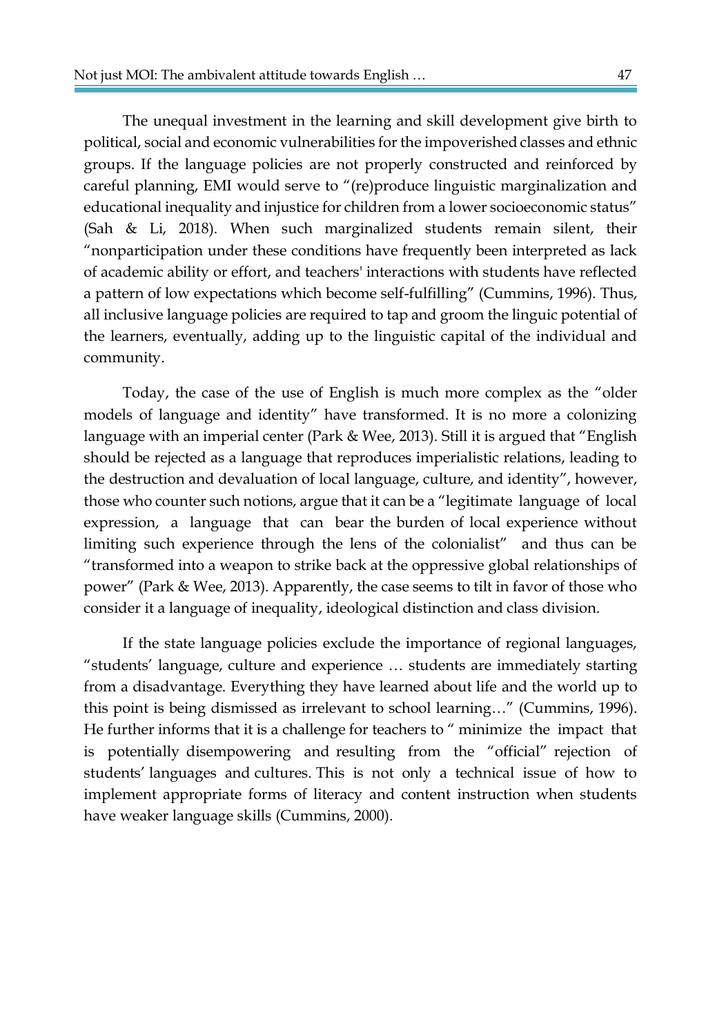The unequal investment in the learning and skill development give birth to political, social and economic vulnerabilities for the impoverished classes and ethnic groups. If the language policies are not properly constructed and reinforced by careful planning, EMI would serve to "(re)produce linguistic marginalization and educational inequality and injustice for children from a lower socioeconomic status" (Sah & Li, 2018). When such marginalized students remain silent, their "nonparticipation under these conditions have frequently been interpreted as lack of academic ability or effort, and teachers' interactions with students have reflected a pattern of low expectations which become self-fulfilling" (Cummins, 1996). Thus, all inclusive language policies are required to tap and groom the linguic potential of the learners, eventually, adding up to the linguistic capital of the individual and community.

Today, the case of the use of English is much more complex as the "older models of language and identity" have transformed. It is no more a colonizing language with an imperial center (Park & Wee, 2013). Still it is argued that "English should be rejected as a language that reproduces imperialistic relations, leading to the destruction and devaluation of local language, culture, and identity", however, those who counter such notions, argue that it can be a "legitimate language of local expression, a language that can bear the burden of local experience without limiting such experience through the lens of the colonialist" and thus can be "transformed into a weapon to strike back at the oppressive global relationships of power" (Park & Wee, 2013). Apparently, the case seems to tilt in favor of those who consider it a language of inequality, ideological distinction and class division.

If the state language policies exclude the importance of regional languages, "students' language, culture and experience … students are immediately starting from a disadvantage. Everything they have learned about life and the world up to this point is being dismissed as irrelevant to school learning…" (Cummins, 1996). He further informs that it is a challenge for teachers to " minimize the impact that is potentially disempowering and resulting from the "official" rejection of students' languages and cultures. This is not only a technical issue of how to implement appropriate forms of literacy and content instruction when students have weaker language skills (Cummins, 2000).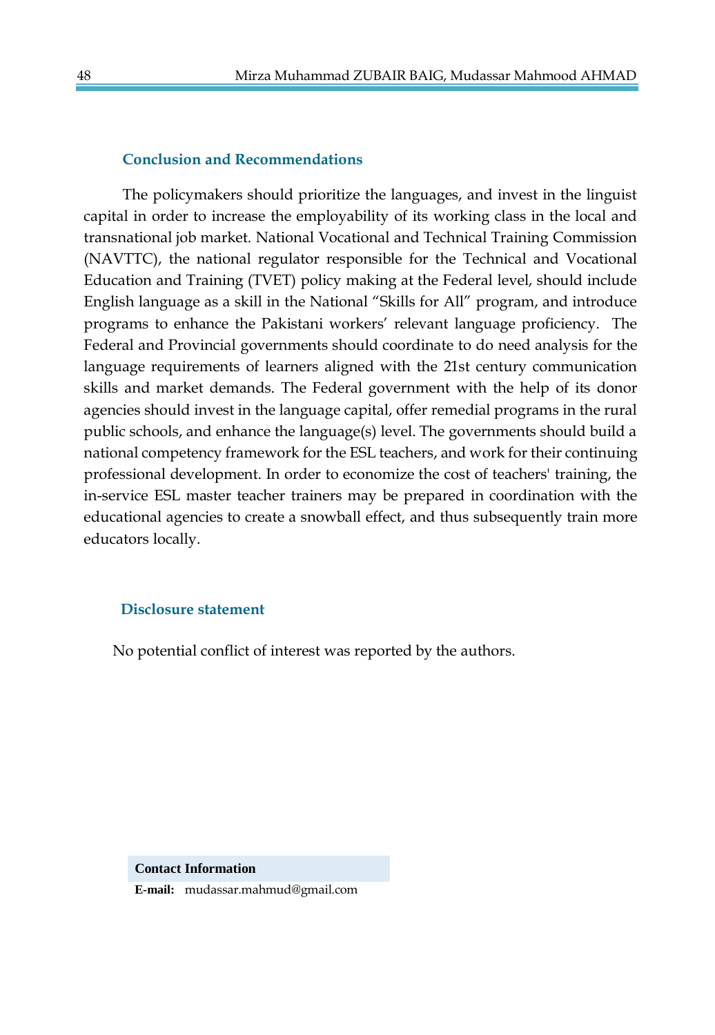#### **Conclusion and Recommendations**

The policymakers should prioritize the languages, and invest in the linguist capital in order to increase the employability of its working class in the local and transnational job market. National Vocational and Technical Training Commission (NAVTTC), the national regulator responsible for the Technical and Vocational Education and Training (TVET) policy making at the Federal level, should include English language as a skill in the National "Skills for All" program, and introduce programs to enhance the Pakistani workers' relevant language proficiency. The Federal and Provincial governments should coordinate to do need analysis for the language requirements of learners aligned with the 21st century communication skills and market demands. The Federal government with the help of its donor agencies should invest in the language capital, offer remedial programs in the rural public schools, and enhance the language(s) level. The governments should build a national competency framework for the ESL teachers, and work for their continuing professional development. In order to economize the cost of teachers' training, the in-service ESL master teacher trainers may be prepared in coordination with the educational agencies to create a snowball effect, and thus subsequently train more educators locally.

#### **Disclosure statement**

No potential conflict of interest was reported by the authors.

#### **Contact Information**

**E-mail:** mudassar.mahmud@gmail.com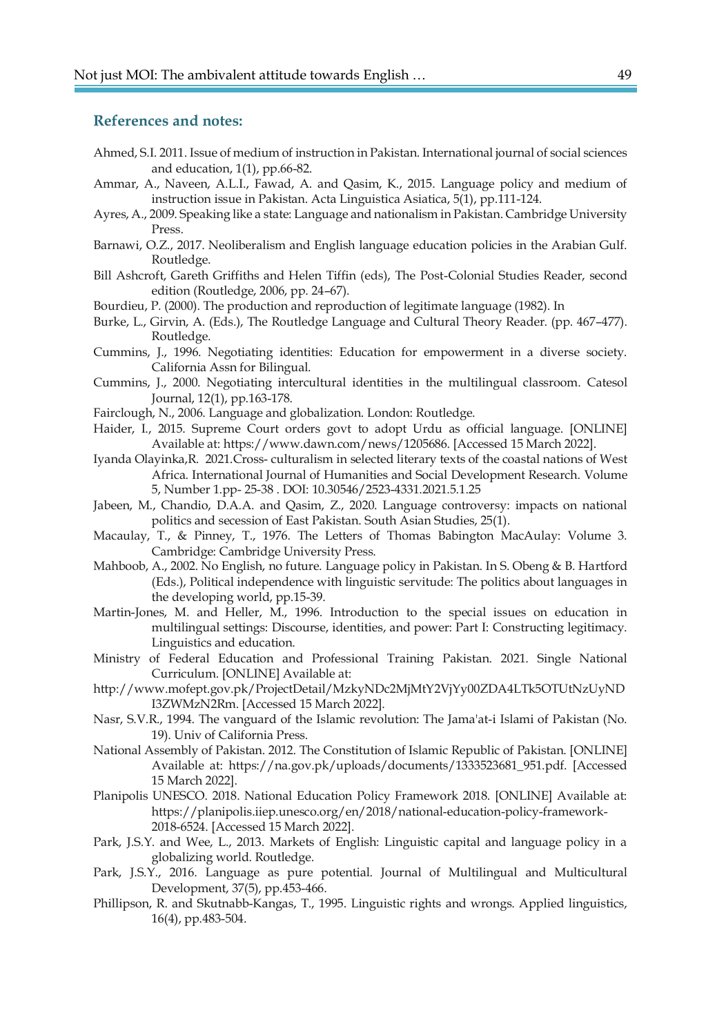#### **References and notes:**

- Ahmed, S.I. 2011. Issue of medium of instruction in Pakistan. International journal of social sciences and education, 1(1), pp.66-82.
- Ammar, A., Naveen, A.L.I., Fawad, A. and Qasim, K., 2015. Language policy and medium of instruction issue in Pakistan. Acta Linguistica Asiatica, 5(1), pp.111-124.
- Ayres, A., 2009. Speaking like a state: Language and nationalism in Pakistan. Cambridge University Press.
- Barnawi, O.Z., 2017. Neoliberalism and English language education policies in the Arabian Gulf. Routledge.
- Bill Ashcroft, Gareth Griffiths and Helen Tiffin (eds), The Post-Colonial Studies Reader, second edition (Routledge, 2006, pp. 24–67).
- Bourdieu, P. (2000). The production and reproduction of legitimate language (1982). In
- Burke, L., Girvin, A. (Eds.), The Routledge Language and Cultural Theory Reader. (pp. 467–477). Routledge.
- Cummins, J., 1996. Negotiating identities: Education for empowerment in a diverse society. California Assn for Bilingual.
- Cummins, J., 2000. Negotiating intercultural identities in the multilingual classroom. Catesol Journal, 12(1), pp.163-178.
- Fairclough, N., 2006. Language and globalization. London: Routledge.
- Haider, I., 2015. Supreme Court orders govt to adopt Urdu as official language. [ONLINE] Available at: https://www.dawn.com/news/1205686. [Accessed 15 March 2022].
- Iyanda Olayinka,R. 2021.Cross- culturalism in selected literary texts of the coastal nations of West Africa. International Journal of Humanities and Social Development Research. Volume 5, Number 1.pp- 25-38 . DOI: 10.30546/2523-4331.2021.5.1.25
- Jabeen, M., Chandio, D.A.A. and Qasim, Z., 2020. Language controversy: impacts on national politics and secession of East Pakistan. South Asian Studies, 25(1).
- Macaulay, T., & Pinney, T., 1976. The Letters of Thomas Babington MacAulay: Volume 3. Cambridge: Cambridge University Press.
- Mahboob, A., 2002. No English, no future. Language policy in Pakistan. In S. Obeng & B. Hartford (Eds.), Political independence with linguistic servitude: The politics about languages in the developing world, pp.15-39.
- Martin-Jones, M. and Heller, M., 1996. Introduction to the special issues on education in multilingual settings: Discourse, identities, and power: Part I: Constructing legitimacy. Linguistics and education.
- Ministry of Federal Education and Professional Training Pakistan. 2021. Single National Curriculum. [ONLINE] Available at:
- http://www.mofept.gov.pk/ProjectDetail/MzkyNDc2MjMtY2VjYy00ZDA4LTk5OTUtNzUyND I3ZWMzN2Rm. [Accessed 15 March 2022].
- Nasr, S.V.R., 1994. The vanguard of the Islamic revolution: The Jama'at-i Islami of Pakistan (No. 19). Univ of California Press.
- National Assembly of Pakistan. 2012. The Constitution of Islamic Republic of Pakistan. [ONLINE] Available at: https://na.gov.pk/uploads/documents/1333523681\_951.pdf. [Accessed 15 March 2022].
- Planipolis UNESCO. 2018. National Education Policy Framework 2018. [ONLINE] Available at: https://planipolis.iiep.unesco.org/en/2018/national-education-policy-framework-2018-6524. [Accessed 15 March 2022].
- Park, J.S.Y. and Wee, L., 2013. Markets of English: Linguistic capital and language policy in a globalizing world. Routledge.
- Park, J.S.Y., 2016. Language as pure potential. Journal of Multilingual and Multicultural Development, 37(5), pp.453-466.
- Phillipson, R. and Skutnabb-Kangas, T., 1995. Linguistic rights and wrongs. Applied linguistics, 16(4), pp.483-504.